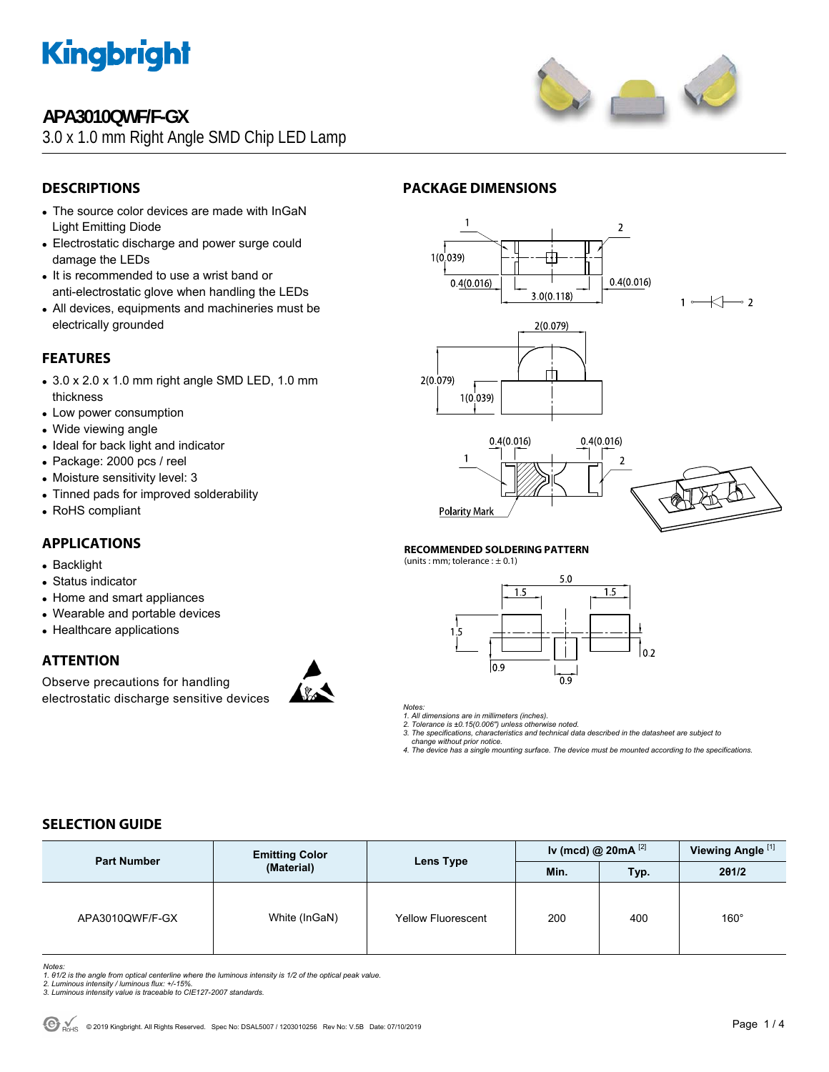

## **APA3010QWF/F-GX**

3.0 x 1.0 mm Right Angle SMD Chip LED Lamp



## **DESCRIPTIONS**

- The source color devices are made with InGaN Light Emitting Diode
- Electrostatic discharge and power surge could damage the LEDs
- It is recommended to use a wrist band or anti-electrostatic glove when handling the LEDs
- All devices, equipments and machineries must be electrically grounded

## **FEATURES**

- $\bullet$  3.0 x 2.0 x 1.0 mm right angle SMD LED, 1.0 mm thickness
- Low power consumption
- Wide viewing angle
- Ideal for back light and indicator
- Package: 2000 pcs / reel
- Moisture sensitivity level: 3
- Tinned pads for improved solderability
- RoHS compliant

## **APPLICATIONS**

- Backlight
- Status indicator
- Home and smart appliances
- Wearable and portable devices
- Healthcare applications

### **ATTENTION**

Observe precautions for handling electrostatic discharge sensitive devices







#### **RECOMMENDED SOLDERING PATTERN**

**PACKAGE DIMENSIONS** 

(units : mm; tolerance :  $\pm$  0.1)



*Notes:* 

*1. All dimensions are in millimeters (inches). 2. Tolerance is ±0.15(0.006") unless otherwise noted.* 

*3. The specifications, characteristics and technical data described in the datasheet are subject to* 

 *change without prior notice. 4. The device has a single mounting surface. The device must be mounted according to the specifications.* 

## **SELECTION GUIDE**

| <b>Part Number</b> | <b>Emitting Color</b><br>(Material) | Lens Type                 | Iv (mcd) @ 20mA $^{[2]}$ |      | Viewing Angle <sup>[1]</sup> |
|--------------------|-------------------------------------|---------------------------|--------------------------|------|------------------------------|
|                    |                                     |                           | Min.                     | Typ. | 201/2                        |
| APA3010QWF/F-GX    | White (InGaN)                       | <b>Yellow Fluorescent</b> | 200                      | 400  | $160^\circ$                  |

*Notes:* 

- 1. 01/2 is the angle from optical centerline where the luminous intensity is 1/2 of the optical peak value.<br>2. Luminous intensity / luminous flux: +/-15%.<br>3. Luminous intensity value is traceable to CIE127-2007 standards.
-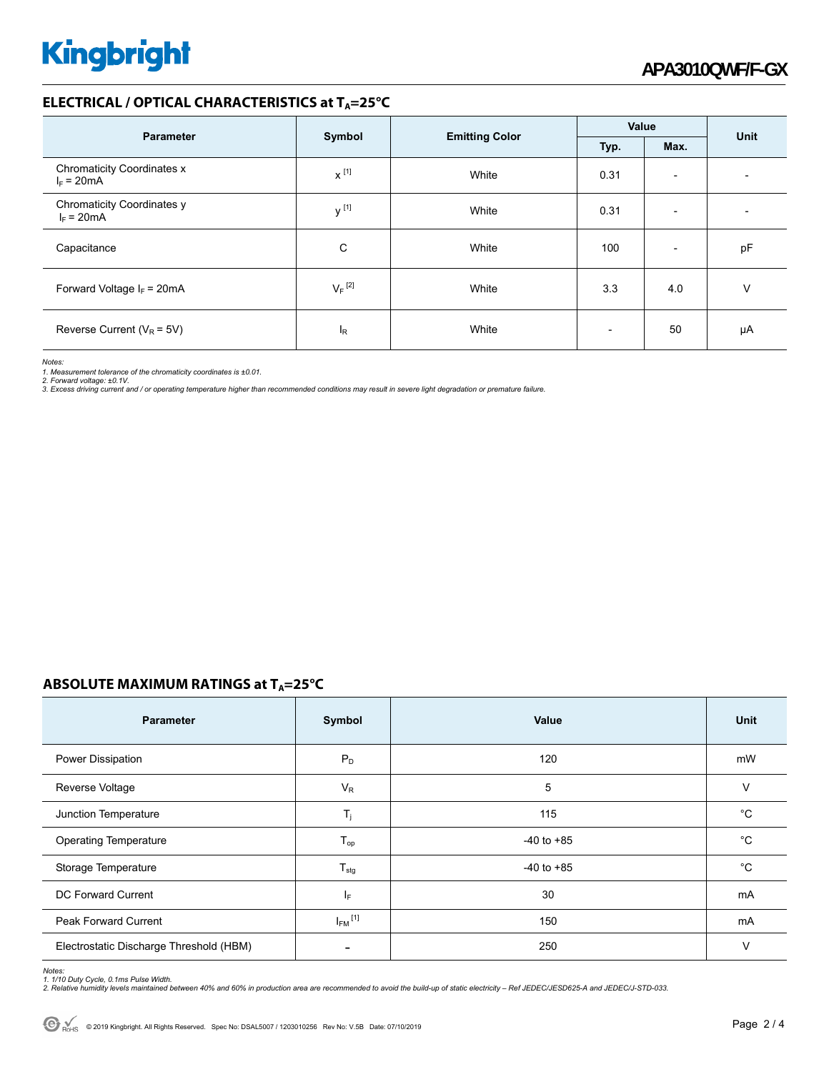#### **ELECTRICAL / OPTICAL CHARACTERISTICS at T<sub>A</sub>=25°C**

| <b>Parameter</b>                                  |                                 |       | Value                    |                          | <b>Unit</b> |  |
|---------------------------------------------------|---------------------------------|-------|--------------------------|--------------------------|-------------|--|
|                                                   | <b>Emitting Color</b><br>Symbol |       | Typ.                     | Max.                     |             |  |
| <b>Chromaticity Coordinates x</b><br>$I_F = 20mA$ | $x^{[1]}$                       | White | 0.31                     | $\overline{\phantom{a}}$ |             |  |
| Chromaticity Coordinates y<br>$I_F = 20mA$        | $v^{[1]}$                       | White | 0.31                     | $\overline{\phantom{0}}$ |             |  |
| Capacitance                                       | C                               | White | 100                      | $\overline{\phantom{a}}$ | pF          |  |
| Forward Voltage $I_F$ = 20mA                      | $V_F$ <sup>[2]</sup>            | White | 3.3                      | 4.0                      | V           |  |
| Reverse Current ( $V_R$ = 5V)                     | <sup>I</sup> R                  | White | $\overline{\phantom{0}}$ | 50                       | μA          |  |

*Notes:* 

*1. Measurement tolerance of the chromaticity coordinates is ±0.01.* 

*2. Forward voltage: ±0.1V. 3. Excess driving current and / or operating temperature higher than recommended conditions may result in severe light degradation or premature failure.* 

#### **ABSOLUTE MAXIMUM RATINGS at T<sub>A</sub>=25°C**

| <b>Parameter</b>                        | Symbol                   | Value          | Unit |
|-----------------------------------------|--------------------------|----------------|------|
| Power Dissipation                       | $P_D$                    | 120            | mW   |
| Reverse Voltage                         | $V_R$                    | 5              | V    |
| Junction Temperature                    | T,                       | 115            | °C   |
| <b>Operating Temperature</b>            | $T_{op}$                 | $-40$ to $+85$ | °C   |
| Storage Temperature                     | $T_{\text{stg}}$         | $-40$ to $+85$ | °C   |
| DC Forward Current                      | IF.                      | 30             | mA   |
| Peak Forward Current                    | $I_{FM}$ <sup>[1]</sup>  | 150            | mA   |
| Electrostatic Discharge Threshold (HBM) | $\overline{\phantom{a}}$ | 250            | V    |

*Notes:* 

1. 1/10 Duty Cycle, 0.1ms Pulse Width.<br>2. Relative humidity levels maintained between 40% and 60% in production area are recommended to avoid the build-up of static electricity – Ref JEDEC/JESD625-A and JEDEC/J-STD-033.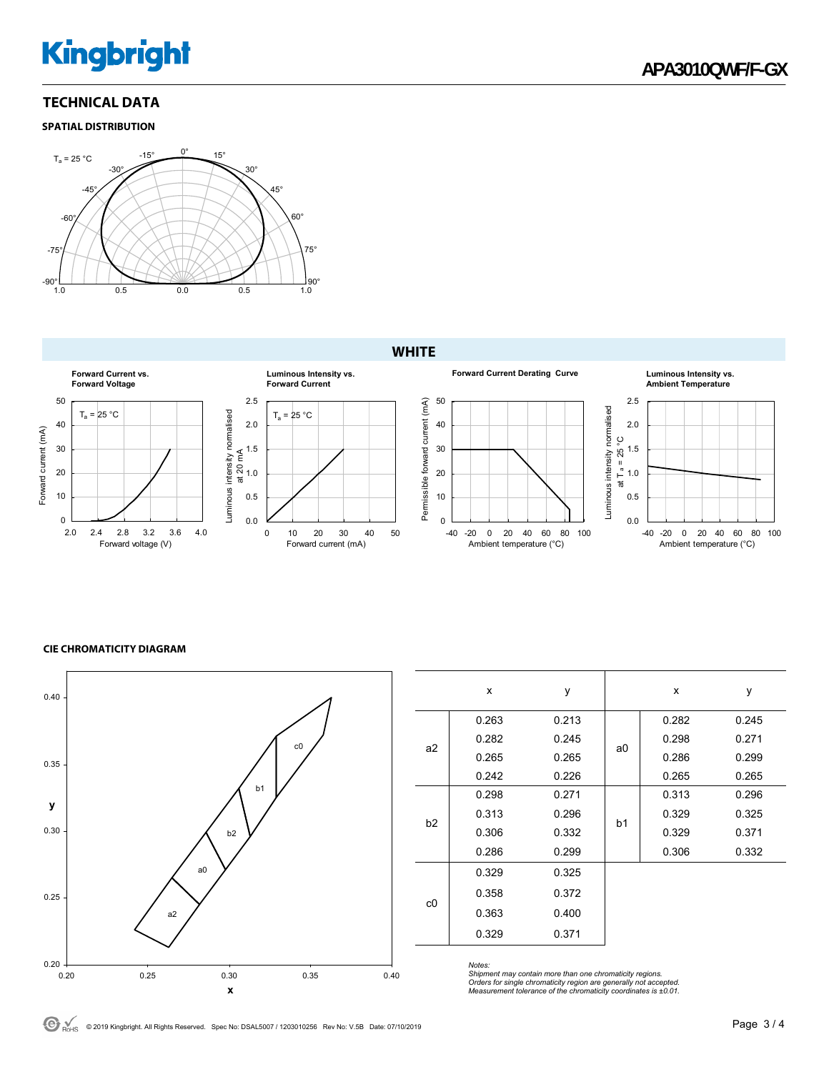# **Kingbright**

### **TECHNICAL DATA**

#### **SPATIAL DISTRIBUTION**



#### **WHITE**



#### **CIE CHROMATICITY DIAGRAM**



|                | x     | у     |                | x     | y     |
|----------------|-------|-------|----------------|-------|-------|
| a2             | 0.263 | 0.213 |                | 0.282 | 0.245 |
|                | 0.282 | 0.245 |                | 0.298 | 0.271 |
|                | 0.265 | 0.265 | a0             | 0.286 | 0.299 |
|                | 0.242 | 0.226 |                | 0.265 | 0.265 |
| b2             | 0.298 | 0.271 |                | 0.313 | 0.296 |
|                | 0.313 | 0.296 |                | 0.329 | 0.325 |
|                | 0.306 | 0.332 | b <sub>1</sub> | 0.329 | 0.371 |
|                | 0.286 | 0.299 |                | 0.306 | 0.332 |
| c <sub>0</sub> | 0.329 | 0.325 |                |       |       |
|                | 0.358 | 0.372 |                |       |       |
|                | 0.363 | 0.400 |                |       |       |
|                | 0.329 | 0.371 |                |       |       |

*Notes:* 

*Shipment may contain more than one chromaticity regions. Orders for single chromaticity region are generally not accepted. Measurement tolerance of the chromaticity coordinates is ±0.01.*